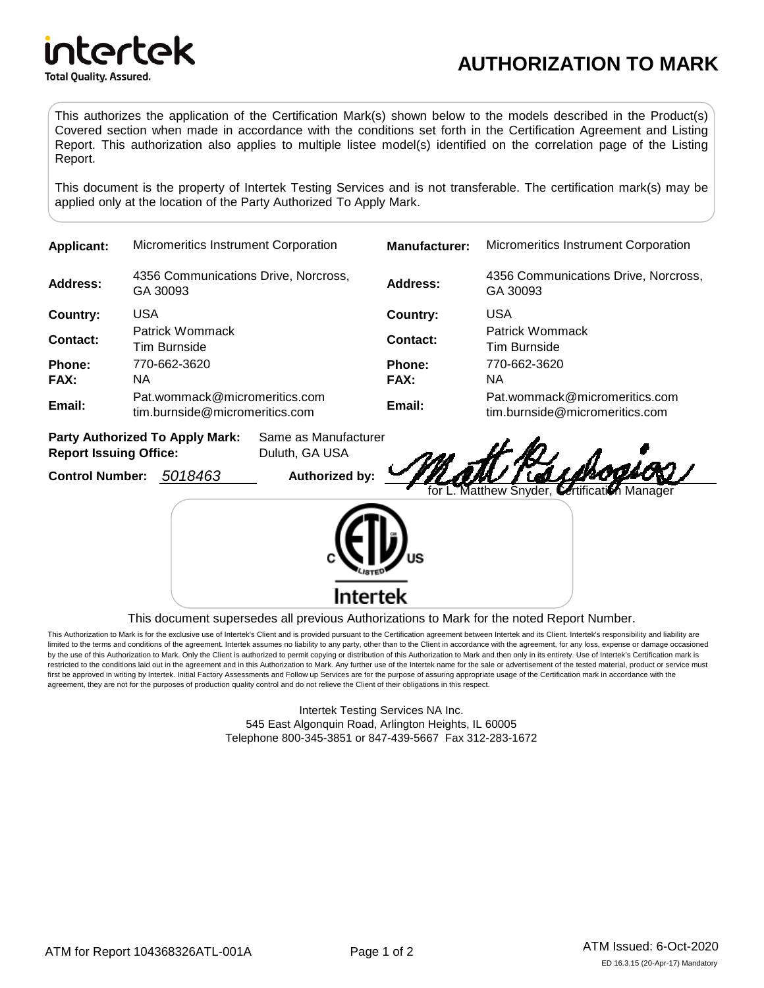

## **AUTHORIZATION TO MARK**

This authorizes the application of the Certification Mark(s) shown below to the models described in the Product(s) Covered section when made in accordance with the conditions set forth in the Certification Agreement and Listing Report. This authorization also applies to multiple listee model(s) identified on the correlation page of the Listing Report.

This document is the property of Intertek Testing Services and is not transferable. The certification mark(s) may be applied only at the location of the Party Authorized To Apply Mark.

| <b>Applicant:</b>                                                       | <b>Micromeritics Instrument Corporation</b>                     |                                        | <b>Manufacturer:</b>  | <b>Micromeritics Instrument Corporation</b>                     |
|-------------------------------------------------------------------------|-----------------------------------------------------------------|----------------------------------------|-----------------------|-----------------------------------------------------------------|
| Address:                                                                | 4356 Communications Drive, Norcross,<br>GA 30093                |                                        | Address:              | 4356 Communications Drive, Norcross,<br>GA 30093                |
| Country:                                                                | <b>USA</b>                                                      |                                        | Country:              | <b>USA</b>                                                      |
| Contact:                                                                | Patrick Wommack<br>Tim Burnside                                 |                                        | Contact:              | Patrick Wommack<br>Tim Burnside                                 |
| <b>Phone:</b><br>FAX:                                                   | 770-662-3620<br>NA.                                             |                                        | <b>Phone:</b><br>FAX: | 770-662-3620<br>NA.                                             |
| Email:                                                                  | Pat.wommack@micromeritics.com<br>tim.burnside@micromeritics.com |                                        | Email:                | Pat.wommack@micromeritics.com<br>tim.burnside@micromeritics.com |
| <b>Party Authorized To Apply Mark:</b><br><b>Report Issuing Office:</b> |                                                                 | Same as Manufacturer<br>Duluth, GA USA |                       | rao St KZ                                                       |

**Control Number:** 5018463 **Authorized by:** 

rad. for L. Matthew Snyder, Certification Manager

*TILAMI* 



This document supersedes all previous Authorizations to Mark for the noted Report Number.

This Authorization to Mark is for the exclusive use of Intertek's Client and is provided pursuant to the Certification agreement between Intertek and its Client. Intertek's responsibility and liability are limited to the terms and conditions of the agreement. Intertek assumes no liability to any party, other than to the Client in accordance with the agreement, for any loss, expense or damage occasioned by the use of this Authorization to Mark. Only the Client is authorized to permit copying or distribution of this Authorization to Mark and then only in its entirety. Use of Intertek's Certification mark is restricted to the conditions laid out in the agreement and in this Authorization to Mark. Any further use of the Intertek name for the sale or advertisement of the tested material, product or service must first be approved in writing by Intertek. Initial Factory Assessments and Follow up Services are for the purpose of assuring appropriate usage of the Certification mark in accordance with the agreement, they are not for the purposes of production quality control and do not relieve the Client of their obligations in this respect.

> Intertek Testing Services NA Inc. 545 East Algonquin Road, Arlington Heights, IL 60005 Telephone 800-345-3851 or 847-439-5667 Fax 312-283-1672